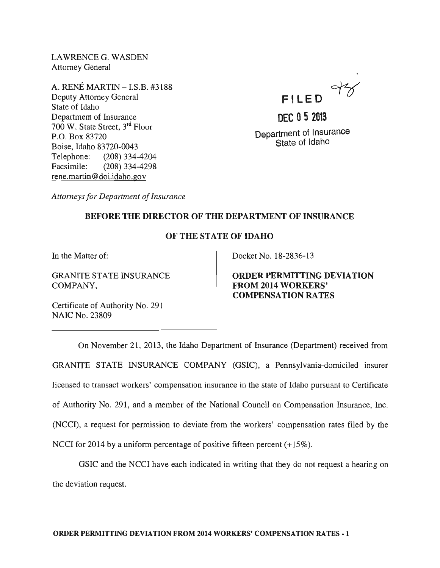LAWRENCEG. WASDEN Attorney General

A. RENE MARTIN - I.S.B. #3188 Deputy Attorney General State of Idaho Department of Insurance 700 W. State Street, 3rd Floor P.O. Box 83720 Boise, Idaho 83720-0043 Telephone: (208) 334-4204 Facsimile: (208) 334-4298 rene.martin @doi.idaho.gov



**DEC 052013**  Department of Insurance State of Idaho

*Attorneys for Department of Insurance* 

## BEFORE THE DIRECTOR OF THE DEPARTMENT OF INSURANCE

## OF THE STATE OF IDAHO

In the Matter of:

GRANITE STATE INSURANCE COMPANY,

Certificate of Authority No. 291 NAIC No. 23809

Docket No. 18-2836-l3

ORDER PERMITTING DEVIATION FROM 2014 WORKERS' COMPENSATION RATES

On November 21, 20l3, the Idaho Department of Insurance (Department) received from GRANITE STATE INSURANCE COMPANY (GSIC), a Pennsylvania-domiciled insurer licensed to transact workers' compensation insurance in the state of Idaho pursuant to Certificate of Authority No. 291, and a member of the National Council on Compensation Insurance, Inc. (NCC!), a request for permission to deviate from the workers' compensation rates filed by the NCCI for 2014 by a uniform percentage of positive fifteen percent  $(+15\%)$ .

GSIC and the NCCI have each indicated in writing that they do not request a hearing on the deviation request.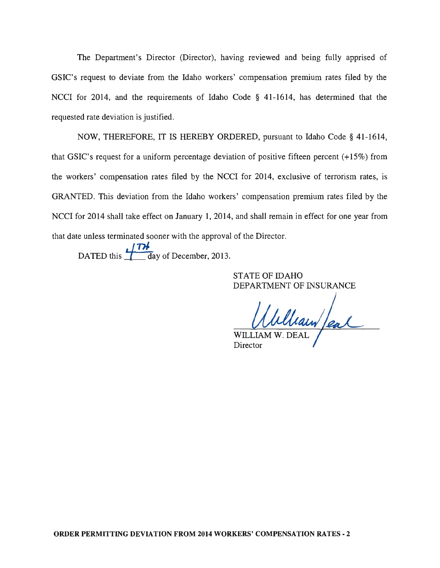The Department's Director (Director), having reviewed and being fully apprised of GSIC's request to deviate from the Idaho workers' compensation premium rates filed by the NCCI for 2014, and the requirements of Idaho Code § 41-1614, has determined that the requested rate deviation is justified.

NOW, THEREFORE, IT IS HEREBY ORDERED, pursuant to Idaho Code § 41-1614, that GSIC's request for a uniform percentage deviation of positive fifteen percent (+15%) from the workers' compensation rates filed by the NCCI for 2014, exclusive of terrorism rates, is GRANTED. This deviation from the Idaho workers' compensation premium rates filed by the NCCI for 2014 shall take effect on January 1, 2014, and shall remain in effect for one year from that date unless terminated sooner with the approval of the Director.

DATED this ·fTHday of December, 2013.

STATE OF IDAHO DEPARTMENT OF INSURANCE

William Jeal

WILLI Director